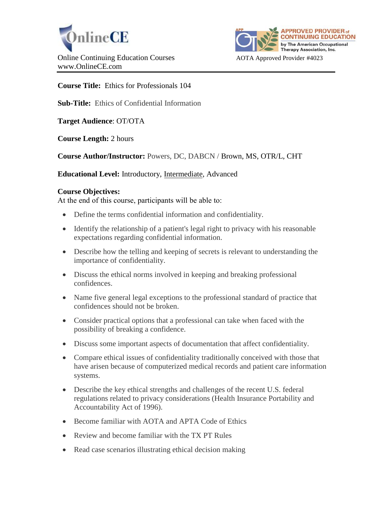



**Course Title:** Ethics for Professionals 104

**Sub-Title:** Ethics of Confidential Information

**Target Audience**: OT/OTA

**Course Length:** 2 hours

**Course Author/Instructor:** Powers, DC, DABCN / Brown, MS, OTR/L, CHT

**Educational Level:** Introductory, Intermediate, Advanced

#### **Course Objectives:**

At the end of this course, participants will be able to:

- Define the terms confidential information and confidentiality.
- Identify the relationship of a patient's legal right to privacy with his reasonable expectations regarding confidential information.
- Describe how the telling and keeping of secrets is relevant to understanding the importance of confidentiality.
- Discuss the ethical norms involved in keeping and breaking professional confidences.
- Name five general legal exceptions to the professional standard of practice that confidences should not be broken.
- Consider practical options that a professional can take when faced with the possibility of breaking a confidence.
- Discuss some important aspects of documentation that affect confidentiality.
- Compare ethical issues of confidentiality traditionally conceived with those that have arisen because of computerized medical records and patient care information systems.
- Describe the key ethical strengths and challenges of the recent U.S. federal regulations related to privacy considerations (Health Insurance Portability and Accountability Act of 1996).
- Become familiar with AOTA and APTA Code of Ethics
- Review and become familiar with the TX PT Rules
- Read case scenarios illustrating ethical decision making